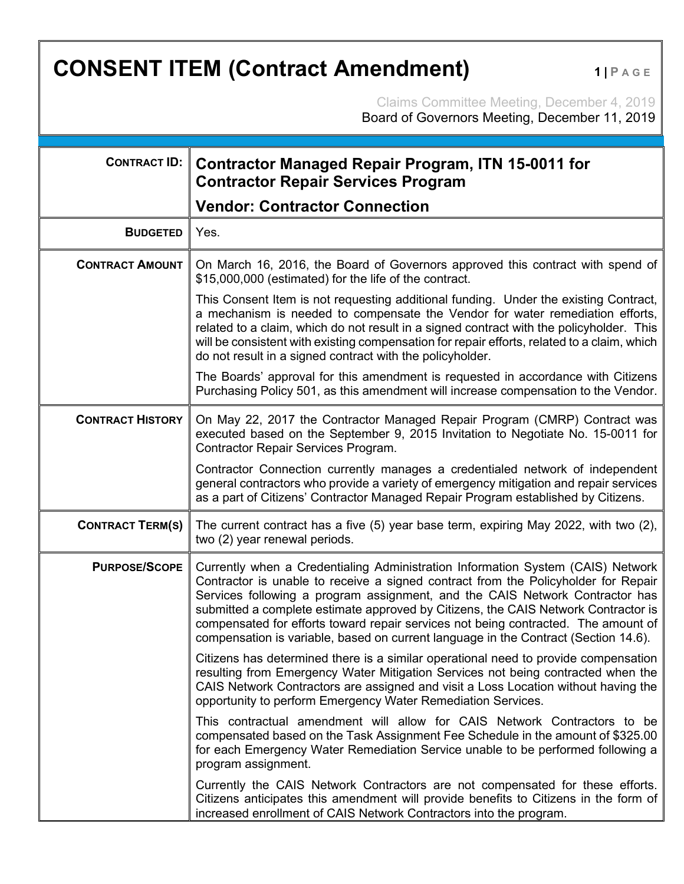## **CONSENT ITEM (Contract Amendment)** 1|PAGE

Claims Committee Meeting, December 4, 2019 Board of Governors Meeting, December 11, 2019

| <b>CONTRACT ID:</b>     | <b>Contractor Managed Repair Program, ITN 15-0011 for</b><br><b>Contractor Repair Services Program</b>                                                                                                                                                                                                                                                                                                                                                                                                                   |
|-------------------------|--------------------------------------------------------------------------------------------------------------------------------------------------------------------------------------------------------------------------------------------------------------------------------------------------------------------------------------------------------------------------------------------------------------------------------------------------------------------------------------------------------------------------|
|                         | <b>Vendor: Contractor Connection</b>                                                                                                                                                                                                                                                                                                                                                                                                                                                                                     |
| <b>BUDGETED</b>         | Yes.                                                                                                                                                                                                                                                                                                                                                                                                                                                                                                                     |
| <b>CONTRACT AMOUNT</b>  | On March 16, 2016, the Board of Governors approved this contract with spend of<br>\$15,000,000 (estimated) for the life of the contract.                                                                                                                                                                                                                                                                                                                                                                                 |
|                         | This Consent Item is not requesting additional funding. Under the existing Contract,<br>a mechanism is needed to compensate the Vendor for water remediation efforts,<br>related to a claim, which do not result in a signed contract with the policyholder. This<br>will be consistent with existing compensation for repair efforts, related to a claim, which<br>do not result in a signed contract with the policyholder.                                                                                            |
|                         | The Boards' approval for this amendment is requested in accordance with Citizens<br>Purchasing Policy 501, as this amendment will increase compensation to the Vendor.                                                                                                                                                                                                                                                                                                                                                   |
| <b>CONTRACT HISTORY</b> | On May 22, 2017 the Contractor Managed Repair Program (CMRP) Contract was<br>executed based on the September 9, 2015 Invitation to Negotiate No. 15-0011 for<br>Contractor Repair Services Program.                                                                                                                                                                                                                                                                                                                      |
|                         | Contractor Connection currently manages a credentialed network of independent<br>general contractors who provide a variety of emergency mitigation and repair services<br>as a part of Citizens' Contractor Managed Repair Program established by Citizens.                                                                                                                                                                                                                                                              |
| <b>CONTRACT TERM(S)</b> | The current contract has a five (5) year base term, expiring May 2022, with two (2),<br>two (2) year renewal periods.                                                                                                                                                                                                                                                                                                                                                                                                    |
| <b>PURPOSE/SCOPE</b>    | Currently when a Credentialing Administration Information System (CAIS) Network<br>Contractor is unable to receive a signed contract from the Policyholder for Repair<br>Services following a program assignment, and the CAIS Network Contractor has<br>submitted a complete estimate approved by Citizens, the CAIS Network Contractor is<br>compensated for efforts toward repair services not being contracted. The amount of<br>compensation is variable, based on current language in the Contract (Section 14.6). |
|                         | Citizens has determined there is a similar operational need to provide compensation<br>resulting from Emergency Water Mitigation Services not being contracted when the<br>CAIS Network Contractors are assigned and visit a Loss Location without having the<br>opportunity to perform Emergency Water Remediation Services.                                                                                                                                                                                            |
|                         | This contractual amendment will allow for CAIS Network Contractors to be<br>compensated based on the Task Assignment Fee Schedule in the amount of \$325.00<br>for each Emergency Water Remediation Service unable to be performed following a<br>program assignment.                                                                                                                                                                                                                                                    |
|                         | Currently the CAIS Network Contractors are not compensated for these efforts.<br>Citizens anticipates this amendment will provide benefits to Citizens in the form of<br>increased enrollment of CAIS Network Contractors into the program.                                                                                                                                                                                                                                                                              |